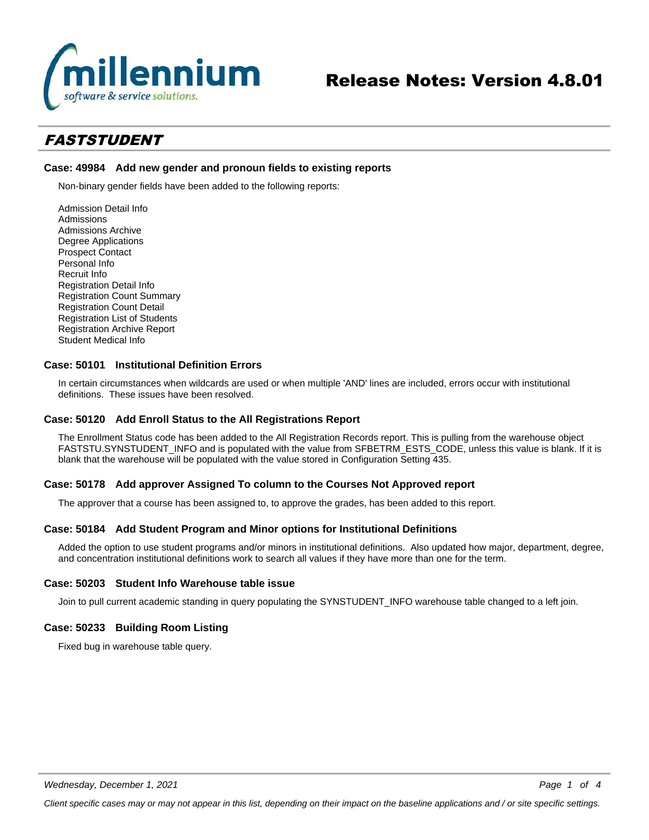

# Release Notes: Version 4.8.01

# *FASTSTUDENT*

### **Case: 49984 Add new gender and pronoun fields to existing reports**

Non-binary gender fields have been added to the following reports:

Admission Detail Info Admissions Admissions Archive Degree Applications Prospect Contact Personal Info Recruit Info Registration Detail Info Registration Count Summary Registration Count Detail Registration List of Students Registration Archive Report Student Medical Info

### **Case: 50101 Institutional Definition Errors**

In certain circumstances when wildcards are used or when multiple 'AND' lines are included, errors occur with institutional definitions. These issues have been resolved.

#### **Case: 50120 Add Enroll Status to the All Registrations Report**

The Enrollment Status code has been added to the All Registration Records report. This is pulling from the warehouse object FASTSTU.SYNSTUDENT\_INFO and is populated with the value from SFBETRM\_ESTS\_CODE, unless this value is blank. If it is blank that the warehouse will be populated with the value stored in Configuration Setting 435.

#### **Case: 50178 Add approver Assigned To column to the Courses Not Approved report**

The approver that a course has been assigned to, to approve the grades, has been added to this report.

#### **Case: 50184 Add Student Program and Minor options for Institutional Definitions**

Added the option to use student programs and/or minors in institutional definitions. Also updated how major, department, degree, and concentration institutional definitions work to search all values if they have more than one for the term.

#### **Case: 50203 Student Info Warehouse table issue**

Join to pull current academic standing in query populating the SYNSTUDENT\_INFO warehouse table changed to a left join.

## **Case: 50233 Building Room Listing**

Fixed bug in warehouse table query.

*Client specific cases may or may not appear in this list, depending on their impact on the baseline applications and / or site specific settings.*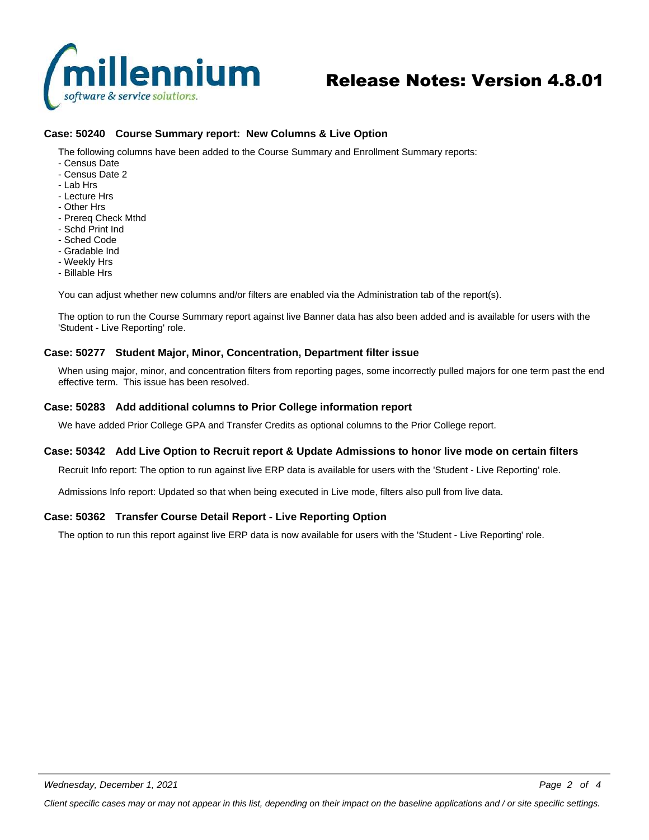

# Release Notes: Version 4.8.01

# **Case: 50240 Course Summary report: New Columns & Live Option**

The following columns have been added to the Course Summary and Enrollment Summary reports:

- Census Date
- Census Date 2
- Lab Hrs
- Lecture Hrs
- Other Hrs
- Prereq Check Mthd
- Schd Print Ind
- Sched Code
- Gradable Ind
- Weekly Hrs
- Billable Hrs

You can adjust whether new columns and/or filters are enabled via the Administration tab of the report(s).

The option to run the Course Summary report against live Banner data has also been added and is available for users with the 'Student - Live Reporting' role.

#### **Case: 50277 Student Major, Minor, Concentration, Department filter issue**

When using major, minor, and concentration filters from reporting pages, some incorrectly pulled majors for one term past the end effective term. This issue has been resolved.

#### **Case: 50283 Add additional columns to Prior College information report**

We have added Prior College GPA and Transfer Credits as optional columns to the Prior College report.

#### **Case: 50342 Add Live Option to Recruit report & Update Admissions to honor live mode on certain filters**

Recruit Info report: The option to run against live ERP data is available for users with the 'Student - Live Reporting' role.

Admissions Info report: Updated so that when being executed in Live mode, filters also pull from live data.

#### **Case: 50362 Transfer Course Detail Report - Live Reporting Option**

The option to run this report against live ERP data is now available for users with the 'Student - Live Reporting' role.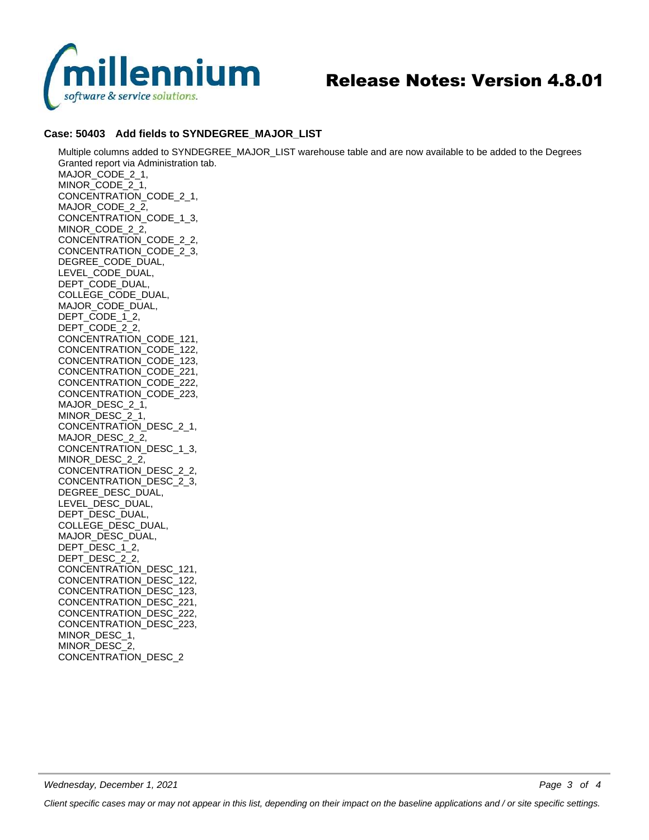

# Release Notes: Version 4.8.01

# **Case: 50403 Add fields to SYNDEGREE\_MAJOR\_LIST**

Multiple columns added to SYNDEGREE\_MAJOR\_LIST warehouse table and are now available to be added to the Degrees Granted report via Administration tab. MAJOR\_CODE\_2\_1, MINOR\_CODE\_2\_1, CONCENTRATION\_CODE\_2\_1, MAJOR\_CODE\_2\_2, CONCENTRATION\_CODE\_1\_3, MINOR\_CODE\_2\_2, CONCENTRATION\_CODE\_2\_2, CONCENTRATION\_CODE\_2\_3, DEGREE\_CODE\_DUAL, LEVEL\_CODE\_DUAL, DEPT\_CODE\_DUAL, COLLEGE\_CODE\_DUAL, MAJOR\_CODE\_DUAL, DEPT\_CODE\_1\_2, DEPT\_CODE\_2\_2, CONCENTRATION\_CODE\_121, CONCENTRATION\_CODE\_122, CONCENTRATION\_CODE\_123, CONCENTRATION\_CODE\_221, CONCENTRATION\_CODE\_222, CONCENTRATION\_CODE\_223, MAJOR\_DESC\_2\_1, MINOR\_DESC\_2\_1, CONCENTRATION\_DESC\_2\_1, MAJOR\_DESC\_2\_2, CONCENTRATION\_DESC\_1\_3, MINOR\_DESC\_2\_2, CONCENTRATION\_DESC\_2\_2, CONCENTRATION\_DESC\_2\_3, DEGREE\_DESC\_DUAL, LEVEL\_DESC\_DUAL, DEPT\_DESC\_DUAL, COLLEGE\_DESC\_DUAL, MAJOR\_DESC\_DUAL, DEPT\_DESC\_1\_2, DEPT\_DESC\_2\_2, CONCENTRATION\_DESC\_121, CONCENTRATION\_DESC\_122, CONCENTRATION\_DESC\_123, CONCENTRATION\_DESC\_221, CONCENTRATION\_DESC\_222, CONCENTRATION\_DESC\_223, MINOR\_DESC\_1, MINOR\_DESC\_2,

CONCENTRATION\_DESC\_2

*Page 3 of 4*